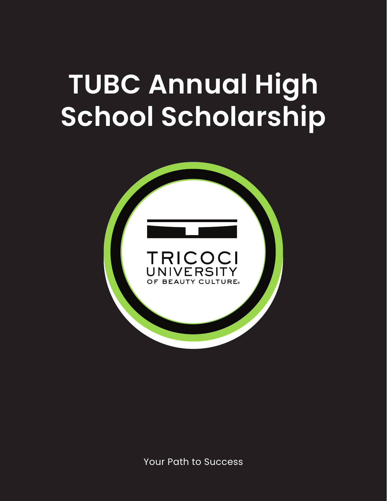# **TUBC Annual High School Scholarship**

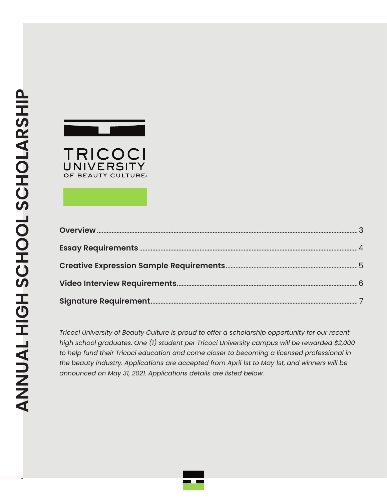

*Tricoci University of Beauty Culture is proud to offer a scholarship opportunity for our recent high school graduates. One (1) student per Tricoci University campus will be rewarded \$2,000 to help fund their Tricoci education and come closer to becoming a licensed professional in the beauty industry. Applications are accepted from April 1st to May 1st, and winners will be announced on May 31, 2021. Applications details are listed below.*

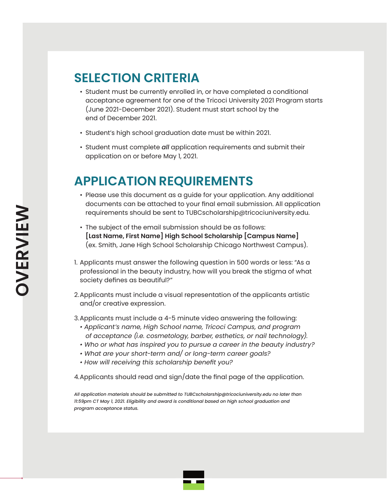# **SELECTION CRITERIA**

- Student must be currently enrolled in, or have completed a conditional acceptance agreement for one of the Tricoci University 2021 Program starts (June 2021-December 2021). Student must start school by the end of December 2021.
- Student's high school graduation date must be within 2021.
- Student must complete *all* application requirements and submit their application on or before May 1, 2021.

# **APPLICATION REQUIREMENTS**

- Please use this document as a guide for your application. Any additional documents can be attached to your final email submission. All application requirements should be sent to TUBCscholarship@tricociuniversity.edu.
- The subject of the email submission should be as follows: **[Last Name, First Name] High School Scholarship [Campus Name]** (ex. Smith, Jane High School Scholarship Chicago Northwest Campus).
- 1. Applicants must answer the following question in 500 words or less: "As a professional in the beauty industry, how will you break the stigma of what society defines as beautiful?"
- 2.Applicants must include a visual representation of the applicants artistic and/or creative expression.
- 3.Applicants must include a 4-5 minute video answering the following:
	- *Applicant's name, High School name, Tricoci Campus, and program of acceptance (i.e. cosmetology, barber, esthetics, or nail technology).*
	- *Who or what has inspired you to pursue a career in the beauty industry?*
	- *What are your short-term and/ or long-term career goals?*
	- *How will receiving this scholarship benefit you?*

4.Applicants should read and sign/date the final page of the application.

*All application materials should be submitted to TUBCscholarship@tricociuniversity.edu no later than 11:59pm CT May 1, 2021. Eligibility and award is conditional based on high school graduation and program acceptance status.*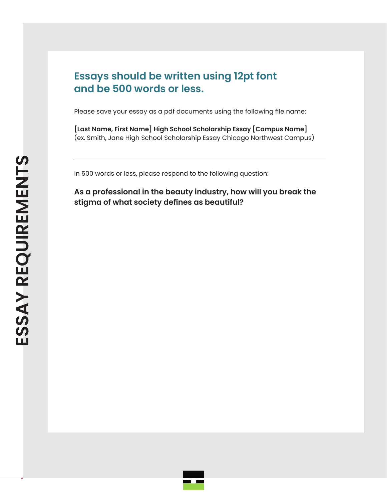### **Essays should be written using 12pt font and be 500 words or less.**

Please save your essay as a pdf documents using the following file name:

**[Last Name, First Name] High School Scholarship Essay [Campus Name]** (ex. Smith, Jane High School Scholarship Essay Chicago Northwest Campus)

In 500 words or less, please respond to the following question:

**As a professional in the beauty industry, how will you break the stigma of what society defines as beautiful?**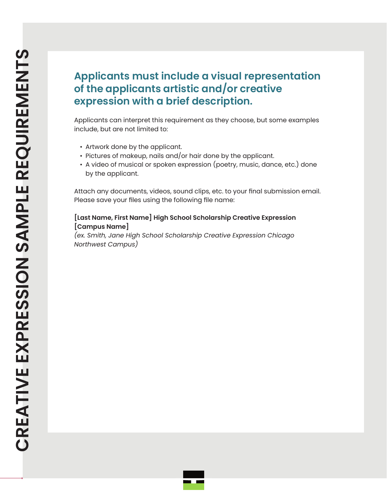## **Applicants must include a visual representation of the applicants artistic and/or creative expression with a brief description.**

Applicants can interpret this requirement as they choose, but some examples include, but are not limited to:

- Artwork done by the applicant.
- Pictures of makeup, nails and/or hair done by the applicant.
- A video of musical or spoken expression (poetry, music, dance, etc.) done by the applicant.

Attach any documents, videos, sound clips, etc. to your final submission email. Please save your files using the following file name:

#### **[Last Name, First Name] High School Scholarship Creative Expression [Campus Name]**

*(ex. Smith, Jane High School Scholarship Creative Expression Chicago Northwest Campus)*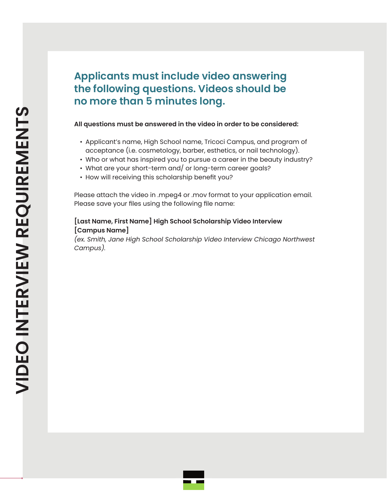### **Applicants must include video answering the following questions. Videos should be no more than 5 minutes long.**

#### **All questions must be answered in the video in order to be considered:**

- Applicant's name, High School name, Tricoci Campus, and program of acceptance (i.e. cosmetology, barber, esthetics, or nail technology).
- Who or what has inspired you to pursue a career in the beauty industry?
- What are your short-term and/ or long-term career goals?
- How will receiving this scholarship benefit you?

Please attach the video in .mpeg4 or .mov format to your application email. Please save your files using the following file name:

#### **[Last Name, First Name] High School Scholarship Video Interview [Campus Name]**

*(ex. Smith, Jane High School Scholarship Video Interview Chicago Northwest Campus).*

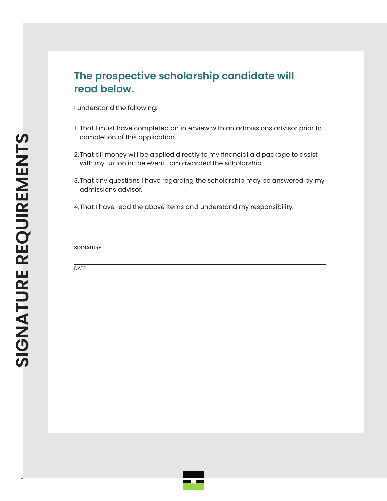### **The prospective scholarship candidate will read below.**

I understand the following:

- 1. That I must have completed an interview with an admissions advisor prior to completion of this application.
- 2.That all money will be applied directly to my financial aid package to assist with my tuition in the event I am awarded the scholarship.
- 3.That any questions I have regarding the scholarship may be answered by my admissions advisor.
- 4.That I have read the above items and understand my responsibility.

**SIGNATURE** 

DATE

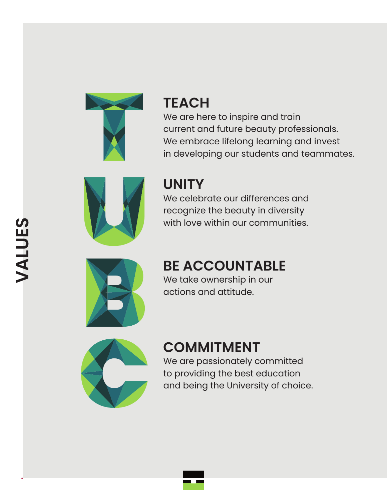

# **TEACH**

We are here to inspire and train current and future beauty professionals. We embrace lifelong learning and invest in developing our students and teammates.



# **UNITY**

We celebrate our differences and recognize the beauty in diversity with love within our communities.



# **BE ACCOUNTABLE**

We take ownership in our actions and attitude.



# **COMMITMENT**

We are passionately committed to providing the best education and being the University of choice.